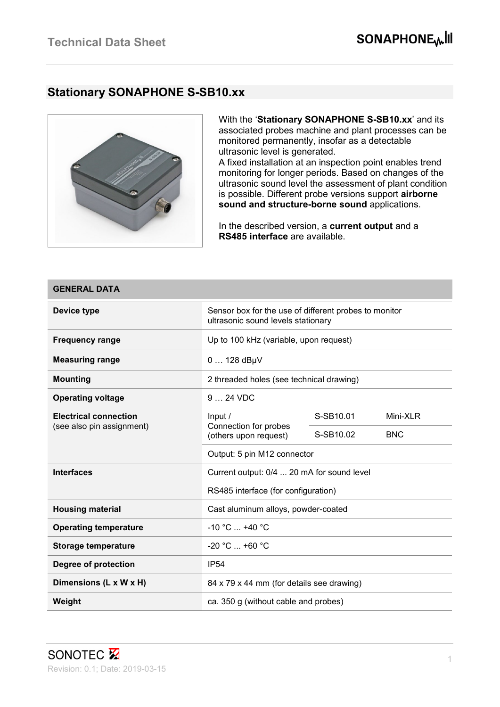### **Stationary SONAPHONE S-SB10.xx**



With the '**Stationary SONAPHONE S-SB10.xx**' and its associated probes machine and plant processes can be monitored permanently, insofar as a detectable ultrasonic level is generated.

A fixed installation at an inspection point enables trend monitoring for longer periods. Based on changes of the ultrasonic sound level the assessment of plant condition is possible. Different probe versions support **airborne sound and structure-borne sound** applications.

In the described version, a **current output** and a **RS485 interface** are available.

| <b>GENERAL DATA</b>          |                                                                                             |           |            |  |
|------------------------------|---------------------------------------------------------------------------------------------|-----------|------------|--|
| Device type                  | Sensor box for the use of different probes to monitor<br>ultrasonic sound levels stationary |           |            |  |
| <b>Frequency range</b>       | Up to 100 kHz (variable, upon request)                                                      |           |            |  |
| <b>Measuring range</b>       | $0128$ dBµV                                                                                 |           |            |  |
| <b>Mounting</b>              | 2 threaded holes (see technical drawing)                                                    |           |            |  |
| <b>Operating voltage</b>     | 9  24 VDC                                                                                   |           |            |  |
| <b>Electrical connection</b> | Input /<br>Connection for probes<br>(others upon request)                                   | S-SB10.01 | Mini-XLR   |  |
| (see also pin assignment)    |                                                                                             | S-SB10.02 | <b>BNC</b> |  |
|                              | Output: 5 pin M12 connector                                                                 |           |            |  |
| <b>Interfaces</b>            | Current output: 0/4  20 mA for sound level                                                  |           |            |  |
|                              | RS485 interface (for configuration)                                                         |           |            |  |
| <b>Housing material</b>      | Cast aluminum alloys, powder-coated                                                         |           |            |  |
| <b>Operating temperature</b> | $-10 °C$ $+40 °C$                                                                           |           |            |  |
| <b>Storage temperature</b>   | $-20 °C  +60 °C$                                                                            |           |            |  |
| Degree of protection         | <b>IP54</b>                                                                                 |           |            |  |
| Dimensions (L x W x H)       | 84 x 79 x 44 mm (for details see drawing)                                                   |           |            |  |
| Weight                       | ca. 350 g (without cable and probes)                                                        |           |            |  |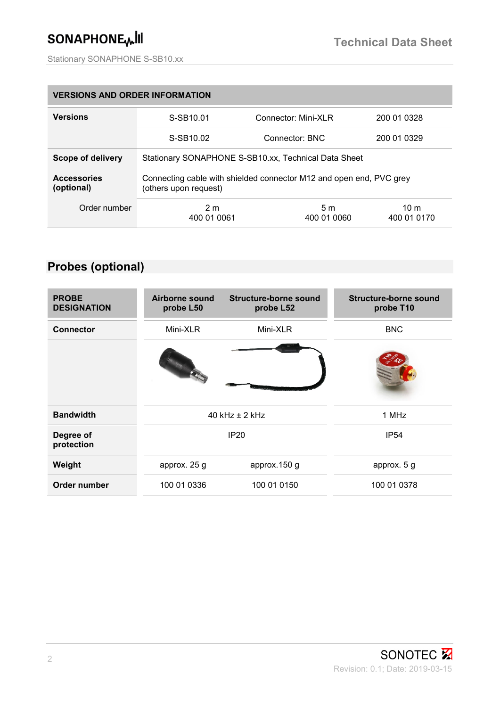# SONAPHONE<sub>W</sub>III

| <b>VERSIONS AND ORDER INFORMATION</b> |                                                                                              |                               |                     |  |
|---------------------------------------|----------------------------------------------------------------------------------------------|-------------------------------|---------------------|--|
| <b>Versions</b>                       | S-SB10.01                                                                                    | Connector: Mini-XLR           | 200 01 0328         |  |
|                                       | S-SB10.02                                                                                    | Connector: BNC                | 200 01 0329         |  |
| Scope of delivery                     | Stationary SONAPHONE S-SB10.xx, Technical Data Sheet                                         |                               |                     |  |
| <b>Accessories</b><br>(optional)      | Connecting cable with shielded connector M12 and open end, PVC grey<br>(others upon request) |                               |                     |  |
| Order number                          | 2 <sub>m</sub><br>400 01 0061                                                                | 5 <sub>m</sub><br>400 01 0060 | 10 m<br>400 01 0170 |  |

## **Probes (optional)**

| <b>PROBE</b><br><b>DESIGNATION</b> | Airborne sound<br>probe L50 | Structure-borne sound<br>probe L52 | Structure-borne sound<br>probe T10 |
|------------------------------------|-----------------------------|------------------------------------|------------------------------------|
| <b>Connector</b>                   | Mini-XLR                    | Mini-XLR                           | <b>BNC</b>                         |
|                                    |                             |                                    |                                    |
| <b>Bandwidth</b>                   | $40$ kHz $\pm$ 2 kHz        |                                    | 1 MHz                              |
| Degree of<br>protection            | <b>IP20</b>                 |                                    | <b>IP54</b>                        |
| Weight                             | approx. 25 g                | approx.150 g                       | approx. 5 g                        |
| Order number                       | 100 01 0336                 | 100 01 0150                        | 100 01 0378                        |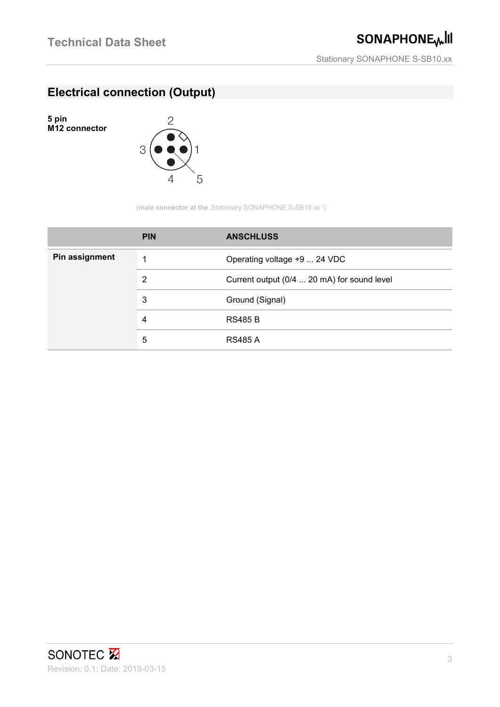## **Electrical connection (Output)**

**5 pin M12 connector**



(**male connector at the** , Stationary SONAPHONE S-SB10.xx ')

|                | <b>PIN</b> | <b>ANSCHLUSS</b>                            |
|----------------|------------|---------------------------------------------|
| Pin assignment | 1          | Operating voltage +9  24 VDC                |
|                | 2          | Current output (0/4  20 mA) for sound level |
|                | 3          | Ground (Signal)                             |
|                | 4          | <b>RS485 B</b>                              |
|                | 5          | <b>RS485 A</b>                              |